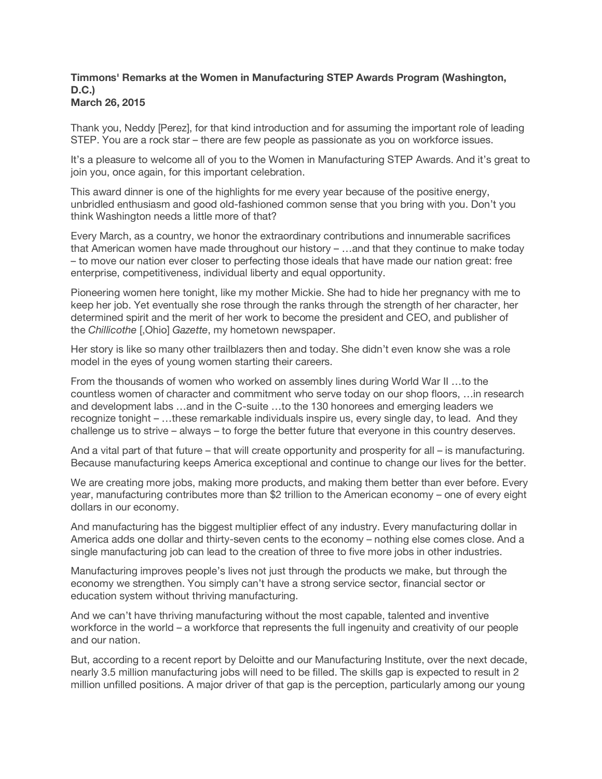## **Timmons' Remarks at the Women in Manufacturing STEP Awards Program (Washington, D.C.) March 26, 2015**

Thank you, Neddy [Perez], for that kind introduction and for assuming the important role of leading STEP. You are a rock star – there are few people as passionate as you on workforce issues.

It's a pleasure to welcome all of you to the Women in Manufacturing STEP Awards. And it's great to join you, once again, for this important celebration.

This award dinner is one of the highlights for me every year because of the positive energy, unbridled enthusiasm and good old-fashioned common sense that you bring with you. Don't you think Washington needs a little more of that?

Every March, as a country, we honor the extraordinary contributions and innumerable sacrifices that American women have made throughout our history – …and that they continue to make today – to move our nation ever closer to perfecting those ideals that have made our nation great: free enterprise, competitiveness, individual liberty and equal opportunity.

Pioneering women here tonight, like my mother Mickie. She had to hide her pregnancy with me to keep her job. Yet eventually she rose through the ranks through the strength of her character, her determined spirit and the merit of her work to become the president and CEO, and publisher of the *Chillicothe* [,Ohio] *Gazette*, my hometown newspaper.

Her story is like so many other trailblazers then and today. She didn't even know she was a role model in the eyes of young women starting their careers.

From the thousands of women who worked on assembly lines during World War II …to the countless women of character and commitment who serve today on our shop floors, …in research and development labs …and in the C-suite …to the 130 honorees and emerging leaders we recognize tonight – …these remarkable individuals inspire us, every single day, to lead. And they challenge us to strive – always – to forge the better future that everyone in this country deserves.

And a vital part of that future – that will create opportunity and prosperity for all – is manufacturing. Because manufacturing keeps America exceptional and continue to change our lives for the better.

We are creating more jobs, making more products, and making them better than ever before. Every year, manufacturing contributes more than \$2 trillion to the American economy – one of every eight dollars in our economy.

And manufacturing has the biggest multiplier effect of any industry. Every manufacturing dollar in America adds one dollar and thirty-seven cents to the economy – nothing else comes close. And a single manufacturing job can lead to the creation of three to five more jobs in other industries.

Manufacturing improves people's lives not just through the products we make, but through the economy we strengthen. You simply can't have a strong service sector, financial sector or education system without thriving manufacturing.

And we can't have thriving manufacturing without the most capable, talented and inventive workforce in the world – a workforce that represents the full ingenuity and creativity of our people and our nation.

But, according to a recent report by Deloitte and our Manufacturing Institute, over the next decade, nearly 3.5 million manufacturing jobs will need to be filled. The skills gap is expected to result in 2 million unfilled positions. A major driver of that gap is the perception, particularly among our young